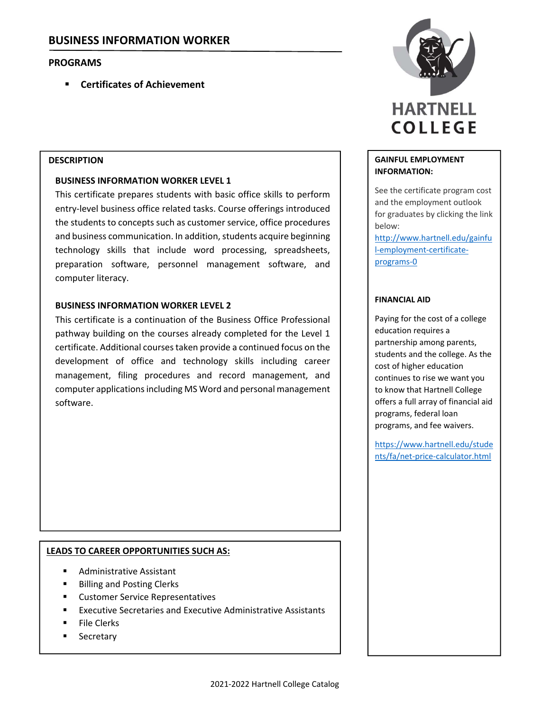# **PROGRAMS**

**Certificates of Achievement**

### **DESCRIPTION**

### **BUSINESS INFORMATION WORKER LEVEL 1**

This certificate prepares students with basic office skills to perform entry‐level business office related tasks. Course offerings introduced the students to concepts such as customer service, office procedures and business communication. In addition, students acquire beginning technology skills that include word processing, spreadsheets, preparation software, personnel management software, and computer literacy.

### **BUSINESS INFORMATION WORKER LEVEL 2**

This certificate is a continuation of the Business Office Professional pathway building on the courses already completed for the Level 1 certificate. Additional coursestaken provide a continued focus on the development of office and technology skills including career management, filing procedures and record management, and computer applications including MS Word and personal management software.

## **LEADS TO CAREER OPPORTUNITIES SUCH AS:**

- Administrative Assistant
- Billing and Posting Clerks
- **EXECUSTOMER Service Representatives**
- Executive Secretaries and Executive Administrative Assistants
- File Clerks
- **Secretary**



### **GAINFUL EMPLOYMENT INFORMATION:**

See the certificate program cost and the employment outlook for graduates by clicking the link below:

http://www.hartnell.edu/gainfu l‐employment‐certificate‐ programs‐0

### **FINANCIAL AID**

Paying for the cost of a college education requires a partnership among parents, students and the college. As the cost of higher education continues to rise we want you to know that Hartnell College offers a full array of financial aid programs, federal loan programs, and fee waivers.

https://www.hartnell.edu/stude nts/fa/net‐price‐calculator.html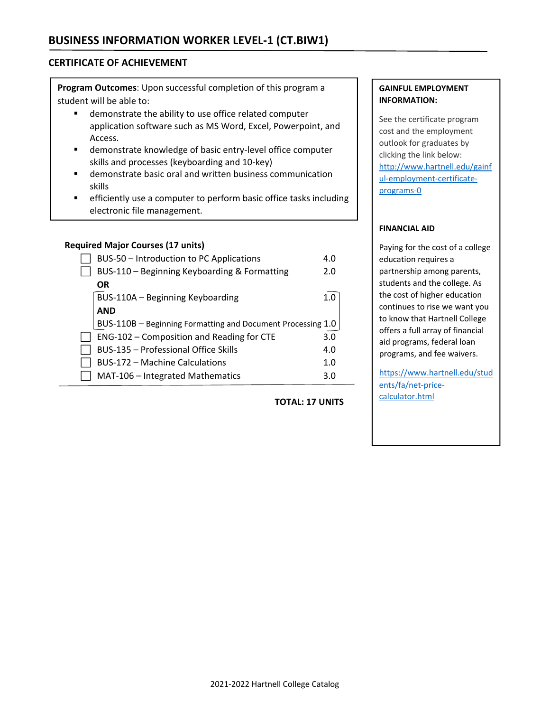## **CERTIFICATE OF ACHIEVEMENT**

**Program Outcomes**: Upon successful completion of this program a student will be able to:

- demonstrate the ability to use office related computer application software such as MS Word, Excel, Powerpoint, and Access.
- demonstrate knowledge of basic entry‐level office computer skills and processes (keyboarding and 10‐key)
- demonstrate basic oral and written business communication skills
- **EXECTE:** efficiently use a computer to perform basic office tasks including electronic file management.

### **Required Major Courses (17 units)**

| BUS-50 - Introduction to PC Applications                    | 4.0 |
|-------------------------------------------------------------|-----|
| BUS-110 - Beginning Keyboarding & Formatting                | 2.0 |
| <b>OR</b>                                                   |     |
| BUS-110A - Beginning Keyboarding                            | 1.0 |
| <b>AND</b>                                                  |     |
| BUS-110B - Beginning Formatting and Document Processing 1.0 |     |
| ENG-102 – Composition and Reading for CTE                   | 3.0 |
| <b>BUS-135 - Professional Office Skills</b>                 | 4.0 |
| <b>BUS-172 - Machine Calculations</b>                       | 1.0 |
| MAT-106 - Integrated Mathematics                            | 3.0 |

### **TOTAL: 17 UNITS**

### **GAINFUL EMPLOYMENT INFORMATION:**

See the certificate program cost and the employment outlook for graduates by clicking the link below: http://www.hartnell.edu/gainf ul-employment-certificateprograms‐0

### **FINANCIAL AID**

Paying for the cost of a college education requires a partnership among parents, students and the college. As the cost of higher education continues to rise we want you to know that Hartnell College offers a full array of financial aid programs, federal loan programs, and fee waivers.

https://www.hartnell.edu/stud ents/fa/net-pricecalculator.html